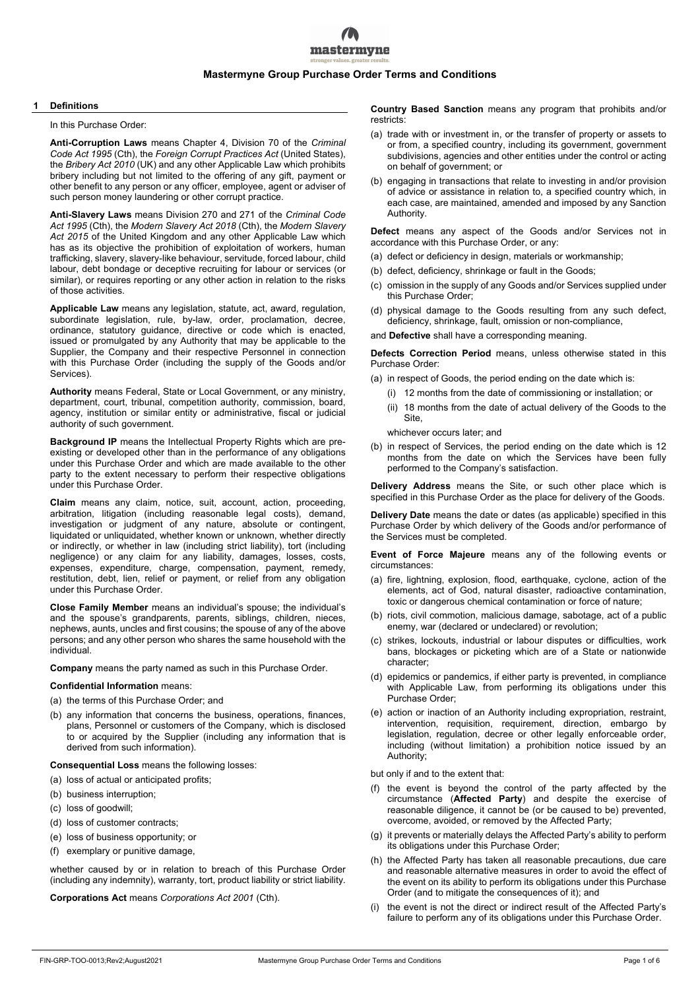# mastermyne

# **Mastermyne Group Purchase Order Terms and Conditions**

#### **1 Definitions**

In this Purchase Order:

**Anti-Corruption Laws** means Chapter 4, Division 70 of the *Criminal Code Act 1995* (Cth), the *Foreign Corrupt Practices Act* (United States), the *Bribery Act 2010* (UK) and any other Applicable Law which prohibits bribery including but not limited to the offering of any gift, payment or other benefit to any person or any officer, employee, agent or adviser of such person money laundering or other corrupt practice.

**Anti-Slavery Laws** means Division 270 and 271 of the *Criminal Code Act 1995* (Cth), the *Modern Slavery Act 2018* (Cth), the *Modern Slavery Act 2015* of the United Kingdom and any other Applicable Law which has as its objective the prohibition of exploitation of workers, human trafficking, slavery, slavery-like behaviour, servitude, forced labour, child labour, debt bondage or deceptive recruiting for labour or services (or similar), or requires reporting or any other action in relation to the risks of those activities.

**Applicable Law** means any legislation, statute, act, award, regulation, subordinate legislation, rule, by-law, order, proclamation, decree, ordinance, statutory guidance, directive or code which is enacted, issued or promulgated by any Authority that may be applicable to the Supplier, the Company and their respective Personnel in connection with this Purchase Order (including the supply of the Goods and/or Services).

**Authority** means Federal, State or Local Government, or any ministry, department, court, tribunal, competition authority, commission, board, agency, institution or similar entity or administrative, fiscal or judicial authority of such government.

**Background IP** means the Intellectual Property Rights which are preexisting or developed other than in the performance of any obligations under this Purchase Order and which are made available to the other party to the extent necessary to perform their respective obligations under this Purchase Order.

**Claim** means any claim, notice, suit, account, action, proceeding, arbitration, litigation (including reasonable legal costs), demand, investigation or judgment of any nature, absolute or contingent, liquidated or unliquidated, whether known or unknown, whether directly or indirectly, or whether in law (including strict liability), tort (including negligence) or any claim for any liability, damages, losses, costs, expenses, expenditure, charge, compensation, payment, remedy, restitution, debt, lien, relief or payment, or relief from any obligation under this Purchase Order.

**Close Family Member** means an individual's spouse; the individual's and the spouse's grandparents, parents, siblings, children, nieces, nephews, aunts, uncles and first cousins; the spouse of any of the above persons; and any other person who shares the same household with the individual.

**Company** means the party named as such in this Purchase Order.

# **Confidential Information** means:

- (a) the terms of this Purchase Order; and
- (b) any information that concerns the business, operations, finances, plans, Personnel or customers of the Company, which is disclosed to or acquired by the Supplier (including any information that is derived from such information).

**Consequential Loss** means the following losses:

- (a) loss of actual or anticipated profits;
- (b) business interruption;
- (c) loss of goodwill;
- (d) loss of customer contracts;
- (e) loss of business opportunity; or
- (f) exemplary or punitive damage,

whether caused by or in relation to breach of this Purchase Order (including any indemnity), warranty, tort, product liability or strict liability.

**Corporations Act** means *Corporations Act 2001* (Cth).

**Country Based Sanction** means any program that prohibits and/or restricts:

- (a) trade with or investment in, or the transfer of property or assets to or from, a specified country, including its government, government subdivisions, agencies and other entities under the control or acting on behalf of government; or
- (b) engaging in transactions that relate to investing in and/or provision of advice or assistance in relation to, a specified country which, in each case, are maintained, amended and imposed by any Sanction Authority.

**Defect** means any aspect of the Goods and/or Services not in accordance with this Purchase Order, or any:

- (a) defect or deficiency in design, materials or workmanship;
- (b) defect, deficiency, shrinkage or fault in the Goods;
- (c) omission in the supply of any Goods and/or Services supplied under this Purchase Order;
- (d) physical damage to the Goods resulting from any such defect, deficiency, shrinkage, fault, omission or non-compliance,

and **Defective** shall have a corresponding meaning.

**Defects Correction Period** means, unless otherwise stated in this Purchase Order:

- (a) in respect of Goods, the period ending on the date which is:
	- (i) 12 months from the date of commissioning or installation; or
	- (ii) 18 months from the date of actual delivery of the Goods to the Site,

whichever occurs later; and

(b) in respect of Services, the period ending on the date which is 12 months from the date on which the Services have been fully performed to the Company's satisfaction.

**Delivery Address** means the Site, or such other place which is specified in this Purchase Order as the place for delivery of the Goods.

**Delivery Date** means the date or dates (as applicable) specified in this Purchase Order by which delivery of the Goods and/or performance of the Services must be completed.

**Event of Force Majeure** means any of the following events or circumstances:

- (a) fire, lightning, explosion, flood, earthquake, cyclone, action of the elements, act of God, natural disaster, radioactive contamination, toxic or dangerous chemical contamination or force of nature;
- (b) riots, civil commotion, malicious damage, sabotage, act of a public enemy, war (declared or undeclared) or revolution;
- strikes, lockouts, industrial or labour disputes or difficulties, work bans, blockages or picketing which are of a State or nationwide character;
- (d) epidemics or pandemics, if either party is prevented, in compliance with Applicable Law, from performing its obligations under this Purchase Order;
- (e) action or inaction of an Authority including expropriation, restraint, intervention, requisition, requirement, direction, embargo by legislation, regulation, decree or other legally enforceable order, including (without limitation) a prohibition notice issued by an Authority;

but only if and to the extent that:

- (f) the event is beyond the control of the party affected by the circumstance (**Affected Party**) and despite the exercise of reasonable diligence, it cannot be (or be caused to be) prevented, overcome, avoided, or removed by the Affected Party;
- (g) it prevents or materially delays the Affected Party's ability to perform its obligations under this Purchase Order;
- (h) the Affected Party has taken all reasonable precautions, due care and reasonable alternative measures in order to avoid the effect of the event on its ability to perform its obligations under this Purchase Order (and to mitigate the consequences of it); and
- the event is not the direct or indirect result of the Affected Party's failure to perform any of its obligations under this Purchase Order.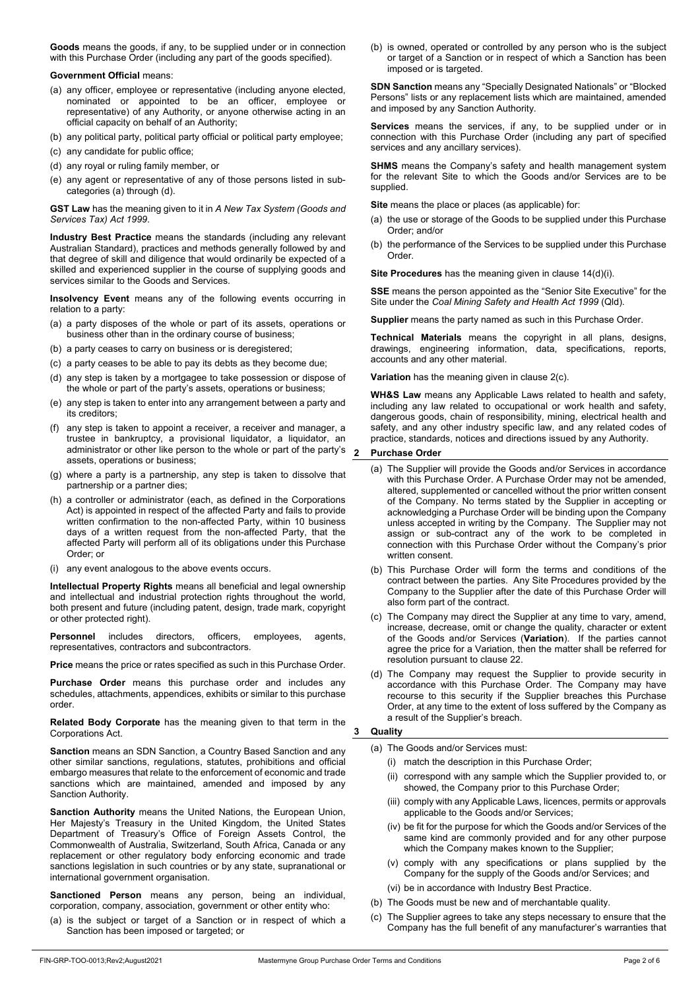**Goods** means the goods, if any, to be supplied under or in connection with this Purchase Order (including any part of the goods specified).

# **Government Official** means:

- (a) any officer, employee or representative (including anyone elected, nominated or appointed to be an officer, employee or representative) of any Authority, or anyone otherwise acting in an official capacity on behalf of an Authority;
- (b) any political party, political party official or political party employee;
- (c) any candidate for public office;
- (d) any royal or ruling family member, or
- (e) any agent or representative of any of those persons listed in subcategories (a) through (d).

**GST Law** has the meaning given to it in *A New Tax System (Goods and Services Tax) Act 1999*.

**Industry Best Practice** means the standards (including any relevant Australian Standard), practices and methods generally followed by and that degree of skill and diligence that would ordinarily be expected of a skilled and experienced supplier in the course of supplying goods and services similar to the Goods and Services.

**Insolvency Event** means any of the following events occurring in relation to a party:

- (a) a party disposes of the whole or part of its assets, operations or business other than in the ordinary course of business;
- (b) a party ceases to carry on business or is deregistered;
- (c) a party ceases to be able to pay its debts as they become due;
- (d) any step is taken by a mortgagee to take possession or dispose of the whole or part of the party's assets, operations or business;
- (e) any step is taken to enter into any arrangement between a party and its creditors;
- (f) any step is taken to appoint a receiver, a receiver and manager, a trustee in bankruptcy, a provisional liquidator, a liquidator, an administrator or other like person to the whole or part of the party's assets, operations or business;
- (g) where a party is a partnership, any step is taken to dissolve that partnership or a partner dies;
- (h) a controller or administrator (each, as defined in the Corporations Act) is appointed in respect of the affected Party and fails to provide written confirmation to the non-affected Party, within 10 business days of a written request from the non-affected Party, that the affected Party will perform all of its obligations under this Purchase Order; or
- (i) any event analogous to the above events occurs.

**Intellectual Property Rights** means all beneficial and legal ownership and intellectual and industrial protection rights throughout the world, both present and future (including patent, design, trade mark, copyright or other protected right).

**Personnel** includes directors, officers, employees, agents, representatives, contractors and subcontractors.

**Price** means the price or rates specified as such in this Purchase Order.

**Purchase Order** means this purchase order and includes any schedules, attachments, appendices, exhibits or similar to this purchase order.

**Related Body Corporate** has the meaning given to that term in the Corporations Act.

**Sanction** means an SDN Sanction, a Country Based Sanction and any other similar sanctions, regulations, statutes, prohibitions and official embargo measures that relate to the enforcement of economic and trade sanctions which are maintained, amended and imposed by any Sanction Authority.

**Sanction Authority** means the United Nations, the European Union, Her Majesty's Treasury in the United Kingdom, the United States Department of Treasury's Office of Foreign Assets Control, the Commonwealth of Australia, Switzerland, South Africa, Canada or any replacement or other regulatory body enforcing economic and trade sanctions legislation in such countries or by any state, supranational or international government organisation.

**Sanctioned Person** means any person, being an individual, corporation, company, association, government or other entity who:

(a) is the subject or target of a Sanction or in respect of which a Sanction has been imposed or targeted; or

(b) is owned, operated or controlled by any person who is the subject or target of a Sanction or in respect of which a Sanction has been imposed or is targeted.

**SDN Sanction** means any "Specially Designated Nationals" or "Blocked Persons" lists or any replacement lists which are maintained, amended and imposed by any Sanction Authority.

**Services** means the services, if any, to be supplied under or in connection with this Purchase Order (including any part of specified services and any ancillary services).

**SHMS** means the Company's safety and health management system for the relevant Site to which the Goods and/or Services are to be supplied.

**Site** means the place or places (as applicable) for:

- (a) the use or storage of the Goods to be supplied under this Purchase Order; and/or
- (b) the performance of the Services to be supplied under this Purchase Order.

**Site Procedures** has the meaning given in clause 14(d)(i).

**SSE** means the person appointed as the "Senior Site Executive" for the Site under the *Coal Mining Safety and Health Act 1999* (Qld).

**Supplier** means the party named as such in this Purchase Order.

**Technical Materials** means the copyright in all plans, designs, drawings, engineering information, data, specifications, reports, accounts and any other material.

**Variation** has the meaning given in clause 2(c).

**WH&S Law** means any Applicable Laws related to health and safety, including any law related to occupational or work health and safety, dangerous goods, chain of responsibility, mining, electrical health and safety, and any other industry specific law, and any related codes of practice, standards, notices and directions issued by any Authority.

#### **2 Purchase Order**

- (a) The Supplier will provide the Goods and/or Services in accordance with this Purchase Order. A Purchase Order may not be amended, altered, supplemented or cancelled without the prior written consent of the Company. No terms stated by the Supplier in accepting or acknowledging a Purchase Order will be binding upon the Company unless accepted in writing by the Company. The Supplier may not assign or sub-contract any of the work to be completed in connection with this Purchase Order without the Company's prior written consent.
- (b) This Purchase Order will form the terms and conditions of the contract between the parties. Any Site Procedures provided by the Company to the Supplier after the date of this Purchase Order will also form part of the contract.
- (c) The Company may direct the Supplier at any time to vary, amend, increase, decrease, omit or change the quality, character or extent of the Goods and/or Services (**Variation**). If the parties cannot agree the price for a Variation, then the matter shall be referred for resolution pursuant to clause 22.
- (d) The Company may request the Supplier to provide security in accordance with this Purchase Order. The Company may have recourse to this security if the Supplier breaches this Purchase Order, at any time to the extent of loss suffered by the Company as a result of the Supplier's breach.

#### **3 Quality**

(a) The Goods and/or Services must:

- (i) match the description in this Purchase Order;
- (ii) correspond with any sample which the Supplier provided to, or showed, the Company prior to this Purchase Order;
- (iii) comply with any Applicable Laws, licences, permits or approvals applicable to the Goods and/or Services;
- (iv) be fit for the purpose for which the Goods and/or Services of the same kind are commonly provided and for any other purpose which the Company makes known to the Supplier:
- comply with any specifications or plans supplied by the Company for the supply of the Goods and/or Services; and
- (vi) be in accordance with Industry Best Practice.
- (b) The Goods must be new and of merchantable quality.
- (c) The Supplier agrees to take any steps necessary to ensure that the Company has the full benefit of any manufacturer's warranties that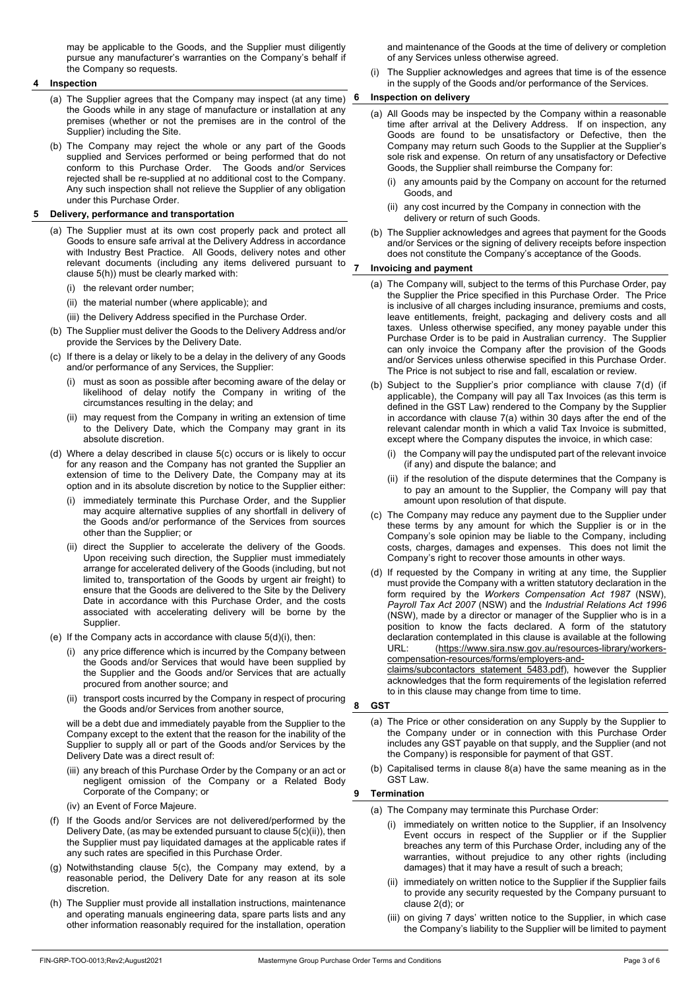may be applicable to the Goods, and the Supplier must diligently pursue any manufacturer's warranties on the Company's behalf if the Company so requests.

# **4 Inspection**

- (a) The Supplier agrees that the Company may inspect (at any time)  $6$ the Goods while in any stage of manufacture or installation at any premises (whether or not the premises are in the control of the Supplier) including the Site.
- (b) The Company may reject the whole or any part of the Goods supplied and Services performed or being performed that do not conform to this Purchase Order. The Goods and/or Services rejected shall be re-supplied at no additional cost to the Company. Any such inspection shall not relieve the Supplier of any obligation under this Purchase Order.

# **5 Delivery, performance and transportation**

- (a) The Supplier must at its own cost properly pack and protect all Goods to ensure safe arrival at the Delivery Address in accordance with Industry Best Practice. All Goods, delivery notes and other relevant documents (including any items delivered pursuant to clause 5(h)) must be clearly marked with:
	- (i) the relevant order number;
	- (ii) the material number (where applicable); and
	- (iii) the Delivery Address specified in the Purchase Order.
- (b) The Supplier must deliver the Goods to the Delivery Address and/or provide the Services by the Delivery Date.
- (c) If there is a delay or likely to be a delay in the delivery of any Goods and/or performance of any Services, the Supplier:
	- must as soon as possible after becoming aware of the delay or likelihood of delay notify the Company in writing of the circumstances resulting in the delay; and
	- (ii) may request from the Company in writing an extension of time to the Delivery Date, which the Company may grant in its absolute discretion.
- (d) Where a delay described in clause 5(c) occurs or is likely to occur for any reason and the Company has not granted the Supplier an extension of time to the Delivery Date, the Company may at its option and in its absolute discretion by notice to the Supplier either:
	- (i) immediately terminate this Purchase Order, and the Supplier may acquire alternative supplies of any shortfall in delivery of the Goods and/or performance of the Services from sources other than the Supplier; or
	- (ii) direct the Supplier to accelerate the delivery of the Goods. Upon receiving such direction, the Supplier must immediately arrange for accelerated delivery of the Goods (including, but not limited to, transportation of the Goods by urgent air freight) to ensure that the Goods are delivered to the Site by the Delivery Date in accordance with this Purchase Order, and the costs associated with accelerating delivery will be borne by the Supplier.
- (e) If the Company acts in accordance with clause 5(d)(i), then:
	- (i) any price difference which is incurred by the Company between the Goods and/or Services that would have been supplied by the Supplier and the Goods and/or Services that are actually procured from another source; and
	- (ii) transport costs incurred by the Company in respect of procuring the Goods and/or Services from another source,

will be a debt due and immediately payable from the Supplier to the Company except to the extent that the reason for the inability of the Supplier to supply all or part of the Goods and/or Services by the Delivery Date was a direct result of:

- (iii) any breach of this Purchase Order by the Company or an act or negligent omission of the Company or a Related Body Corporate of the Company; or
- (iv) an Event of Force Majeure.
- (f) If the Goods and/or Services are not delivered/performed by the Delivery Date, (as may be extended pursuant to clause 5(c)(ii)), then the Supplier must pay liquidated damages at the applicable rates if any such rates are specified in this Purchase Order.
- (g) Notwithstanding clause 5(c), the Company may extend, by a reasonable period, the Delivery Date for any reason at its sole discretion.
- (h) The Supplier must provide all installation instructions, maintenance and operating manuals engineering data, spare parts lists and any other information reasonably required for the installation, operation

and maintenance of the Goods at the time of delivery or completion of any Services unless otherwise agreed.

(i) The Supplier acknowledges and agrees that time is of the essence in the supply of the Goods and/or performance of the Services.

# **6 Inspection on delivery**

- (a) All Goods may be inspected by the Company within a reasonable time after arrival at the Delivery Address. If on inspection, any Goods are found to be unsatisfactory or Defective, then the Company may return such Goods to the Supplier at the Supplier's sole risk and expense. On return of any unsatisfactory or Defective Goods, the Supplier shall reimburse the Company for:
	- (i) any amounts paid by the Company on account for the returned Goods, and
	- any cost incurred by the Company in connection with the delivery or return of such Goods.
- (b) The Supplier acknowledges and agrees that payment for the Goods and/or Services or the signing of delivery receipts before inspection does not constitute the Company's acceptance of the Goods.

# **7 Invoicing and payment**

- (a) The Company will, subject to the terms of this Purchase Order, pay the Supplier the Price specified in this Purchase Order. The Price is inclusive of all charges including insurance, premiums and costs, leave entitlements, freight, packaging and delivery costs and all taxes. Unless otherwise specified, any money payable under this Purchase Order is to be paid in Australian currency. The Supplier can only invoice the Company after the provision of the Goods and/or Services unless otherwise specified in this Purchase Order. The Price is not subject to rise and fall, escalation or review.
- (b) Subject to the Supplier's prior compliance with clause 7(d) (if applicable), the Company will pay all Tax Invoices (as this term is defined in the GST Law) rendered to the Company by the Supplier in accordance with clause 7(a) within 30 days after the end of the relevant calendar month in which a valid Tax Invoice is submitted, except where the Company disputes the invoice, in which case:
	- (i) the Company will pay the undisputed part of the relevant invoice (if any) and dispute the balance; and
	- (ii) if the resolution of the dispute determines that the Company is to pay an amount to the Supplier, the Company will pay that amount upon resolution of that dispute.
- (c) The Company may reduce any payment due to the Supplier under these terms by any amount for which the Supplier is or in the Company's sole opinion may be liable to the Company, including costs, charges, damages and expenses. This does not limit the Company's right to recover those amounts in other ways.
- (d) If requested by the Company in writing at any time, the Supplier must provide the Company with a written statutory declaration in the form required by the *Workers Compensation Act 1987* (NSW), *Payroll Tax Act 2007* (NSW) and the *Industrial Relations Act 1996*  (NSW), made by a director or manager of the Supplier who is in a position to know the facts declared. A form of the statutory declaration contemplated in this clause is available at the following URL: (https://www.sira.nsw.gov.au/resources-library/workerscompensation-resources/forms/employers-and-

claims/subcontactors\_statement\_5483.pdf), however the Supplier acknowledges that the form requirements of the legislation referred to in this clause may change from time to time.

# **8 GST**

- (a) The Price or other consideration on any Supply by the Supplier to the Company under or in connection with this Purchase Order includes any GST payable on that supply, and the Supplier (and not the Company) is responsible for payment of that GST.
- (b) Capitalised terms in clause 8(a) have the same meaning as in the GST Law.

# **9 Termination**

- (a) The Company may terminate this Purchase Order:
	- immediately on written notice to the Supplier, if an Insolvency Event occurs in respect of the Supplier or if the Supplier breaches any term of this Purchase Order, including any of the warranties, without prejudice to any other rights (including damages) that it may have a result of such a breach;
	- (ii) immediately on written notice to the Supplier if the Supplier fails to provide any security requested by the Company pursuant to clause 2(d); or
	- (iii) on giving 7 days' written notice to the Supplier, in which case the Company's liability to the Supplier will be limited to payment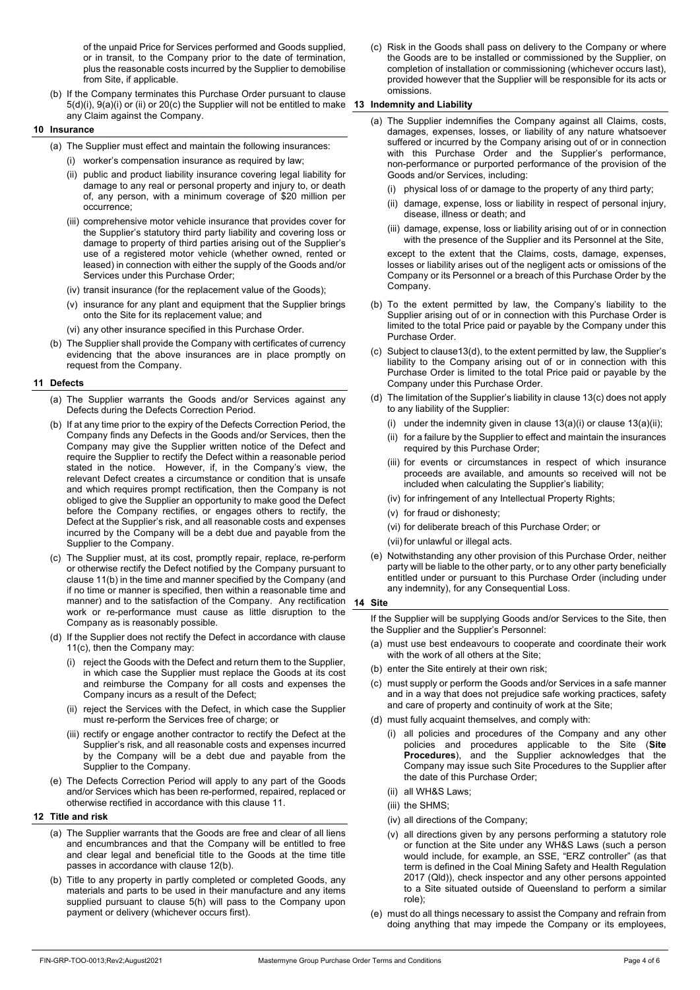of the unpaid Price for Services performed and Goods supplied, or in transit, to the Company prior to the date of termination, plus the reasonable costs incurred by the Supplier to demobilise from Site, if applicable.

(b) If the Company terminates this Purchase Order pursuant to clause 5(d)(i), 9(a)(i) or (ii) or 20(c) the Supplier will not be entitled to make **13 Indemnity and Liability**  any Claim against the Company.

#### **10 Insurance**

- (a) The Supplier must effect and maintain the following insurances:
	- (i) worker's compensation insurance as required by law;
	- (ii) public and product liability insurance covering legal liability for damage to any real or personal property and injury to, or death of, any person, with a minimum coverage of \$20 million per occurrence;
	- (iii) comprehensive motor vehicle insurance that provides cover for the Supplier's statutory third party liability and covering loss or damage to property of third parties arising out of the Supplier's use of a registered motor vehicle (whether owned, rented or leased) in connection with either the supply of the Goods and/or Services under this Purchase Order;
	- (iv) transit insurance (for the replacement value of the Goods);
	- (v) insurance for any plant and equipment that the Supplier brings onto the Site for its replacement value; and
	- (vi) any other insurance specified in this Purchase Order.
- (b) The Supplier shall provide the Company with certificates of currency evidencing that the above insurances are in place promptly on request from the Company.

# **11 Defects**

- (a) The Supplier warrants the Goods and/or Services against any Defects during the Defects Correction Period.
- (b) If at any time prior to the expiry of the Defects Correction Period, the Company finds any Defects in the Goods and/or Services, then the Company may give the Supplier written notice of the Defect and require the Supplier to rectify the Defect within a reasonable period stated in the notice. However, if, in the Company's view, the relevant Defect creates a circumstance or condition that is unsafe and which requires prompt rectification, then the Company is not obliged to give the Supplier an opportunity to make good the Defect before the Company rectifies, or engages others to rectify, the Defect at the Supplier's risk, and all reasonable costs and expenses incurred by the Company will be a debt due and payable from the Supplier to the Company.
- (c) The Supplier must, at its cost, promptly repair, replace, re-perform or otherwise rectify the Defect notified by the Company pursuant to clause 11(b) in the time and manner specified by the Company (and if no time or manner is specified, then within a reasonable time and manner) and to the satisfaction of the Company. Any rectification **14 Site**  work or re-performance must cause as little disruption to the Company as is reasonably possible.
- (d) If the Supplier does not rectify the Defect in accordance with clause 11(c), then the Company may:
	- (i) reject the Goods with the Defect and return them to the Supplier, in which case the Supplier must replace the Goods at its cost and reimburse the Company for all costs and expenses the Company incurs as a result of the Defect;
	- (ii) reject the Services with the Defect, in which case the Supplier must re-perform the Services free of charge; or
	- (iii) rectify or engage another contractor to rectify the Defect at the Supplier's risk, and all reasonable costs and expenses incurred by the Company will be a debt due and payable from the Supplier to the Company.
- (e) The Defects Correction Period will apply to any part of the Goods and/or Services which has been re-performed, repaired, replaced or otherwise rectified in accordance with this clause 11.

#### **12 Title and risk**

- (a) The Supplier warrants that the Goods are free and clear of all liens and encumbrances and that the Company will be entitled to free and clear legal and beneficial title to the Goods at the time title passes in accordance with clause 12(b).
- (b) Title to any property in partly completed or completed Goods, any materials and parts to be used in their manufacture and any items supplied pursuant to clause 5(h) will pass to the Company upon payment or delivery (whichever occurs first).

(c) Risk in the Goods shall pass on delivery to the Company or where the Goods are to be installed or commissioned by the Supplier, on completion of installation or commissioning (whichever occurs last), provided however that the Supplier will be responsible for its acts or omissions.

- (a) The Supplier indemnifies the Company against all Claims, costs, damages, expenses, losses, or liability of any nature whatsoever suffered or incurred by the Company arising out of or in connection with this Purchase Order and the Supplier's performance, non-performance or purported performance of the provision of the Goods and/or Services, including:
	- (i) physical loss of or damage to the property of any third party;
	- (ii) damage, expense, loss or liability in respect of personal injury, disease, illness or death; and
	- (iii) damage, expense, loss or liability arising out of or in connection with the presence of the Supplier and its Personnel at the Site,

except to the extent that the Claims, costs, damage, expenses, losses or liability arises out of the negligent acts or omissions of the Company or its Personnel or a breach of this Purchase Order by the Company.

- (b) To the extent permitted by law, the Company's liability to the Supplier arising out of or in connection with this Purchase Order is limited to the total Price paid or payable by the Company under this Purchase Order.
- (c) Subject to clause13(d), to the extent permitted by law, the Supplier's liability to the Company arising out of or in connection with this Purchase Order is limited to the total Price paid or payable by the Company under this Purchase Order.
- (d) The limitation of the Supplier's liability in clause 13(c) does not apply to any liability of the Supplier:
	- (i) under the indemnity given in clause 13(a)(i) or clause 13(a)(ii);
	- (ii) for a failure by the Supplier to effect and maintain the insurances required by this Purchase Order;
	- (iii) for events or circumstances in respect of which insurance proceeds are available, and amounts so received will not be included when calculating the Supplier's liability;
	- (iv) for infringement of any Intellectual Property Rights;
	- (v) for fraud or dishonesty;
	- (vi) for deliberate breach of this Purchase Order; or
	- (vii) for unlawful or illegal acts.
- (e) Notwithstanding any other provision of this Purchase Order, neither party will be liable to the other party, or to any other party beneficially entitled under or pursuant to this Purchase Order (including under any indemnity), for any Consequential Loss.

If the Supplier will be supplying Goods and/or Services to the Site, then the Supplier and the Supplier's Personnel:

- (a) must use best endeavours to cooperate and coordinate their work with the work of all others at the Site;
- (b) enter the Site entirely at their own risk;
- (c) must supply or perform the Goods and/or Services in a safe manner and in a way that does not prejudice safe working practices, safety and care of property and continuity of work at the Site;
- (d) must fully acquaint themselves, and comply with:
	- (i) all policies and procedures of the Company and any other policies and procedures applicable to the Site (**Site Procedures**), and the Supplier acknowledges that the Company may issue such Site Procedures to the Supplier after the date of this Purchase Order;
	- (ii) all WH&S Laws;
	- (iii) the SHMS;
	- (iv) all directions of the Company;
	- (v) all directions given by any persons performing a statutory role or function at the Site under any WH&S Laws (such a person would include, for example, an SSE, "ERZ controller" (as that term is defined in the Coal Mining Safety and Health Regulation 2017 (Qld)), check inspector and any other persons appointed to a Site situated outside of Queensland to perform a similar role);
- (e) must do all things necessary to assist the Company and refrain from doing anything that may impede the Company or its employees,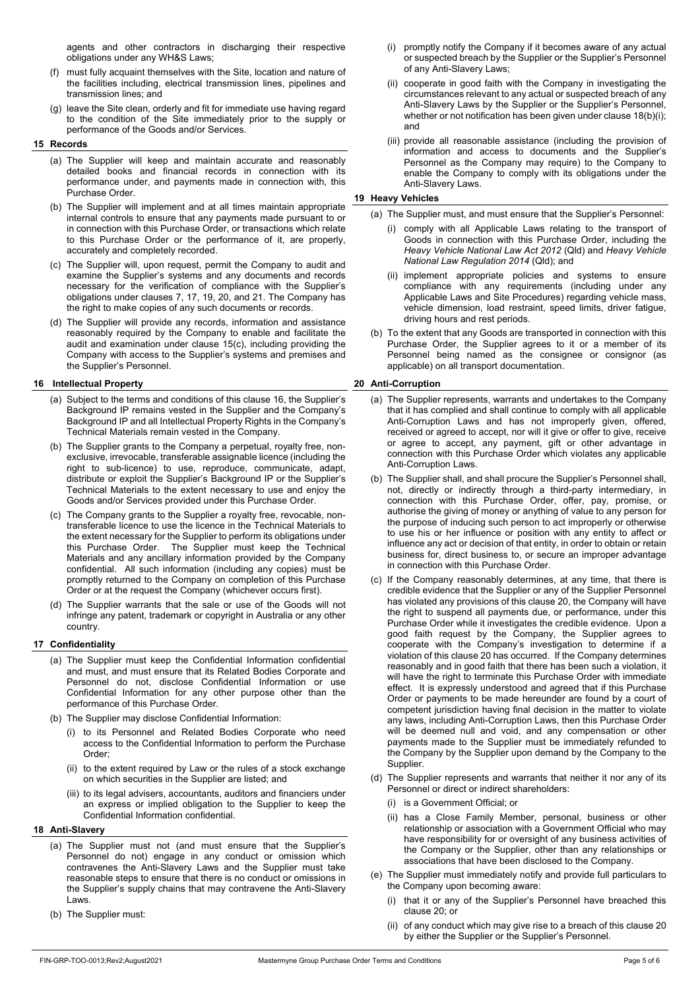agents and other contractors in discharging their respective obligations under any WH&S Laws;

- (f) must fully acquaint themselves with the Site, location and nature of the facilities including, electrical transmission lines, pipelines and transmission lines; and
- (g) leave the Site clean, orderly and fit for immediate use having regard to the condition of the Site immediately prior to the supply or performance of the Goods and/or Services.

# **15 Records**

- (a) The Supplier will keep and maintain accurate and reasonably detailed books and financial records in connection with its performance under, and payments made in connection with, this Purchase Order.
- (b) The Supplier will implement and at all times maintain appropriate internal controls to ensure that any payments made pursuant to or in connection with this Purchase Order, or transactions which relate to this Purchase Order or the performance of it, are properly, accurately and completely recorded.
- (c) The Supplier will, upon request, permit the Company to audit and examine the Supplier's systems and any documents and records necessary for the verification of compliance with the Supplier's obligations under clauses 7, 17, 19, 20, and 21. The Company has the right to make copies of any such documents or records.
- (d) The Supplier will provide any records, information and assistance reasonably required by the Company to enable and facilitate the audit and examination under clause 15(c), including providing the Company with access to the Supplier's systems and premises and the Supplier's Personnel.

# **16 Intellectual Property**

- (a) Subject to the terms and conditions of this clause 16, the Supplier's Background IP remains vested in the Supplier and the Company's Background IP and all Intellectual Property Rights in the Company's Technical Materials remain vested in the Company.
- (b) The Supplier grants to the Company a perpetual, royalty free, nonexclusive, irrevocable, transferable assignable licence (including the right to sub-licence) to use, reproduce, communicate, adapt, distribute or exploit the Supplier's Background IP or the Supplier's Technical Materials to the extent necessary to use and enjoy the Goods and/or Services provided under this Purchase Order.
- (c) The Company grants to the Supplier a royalty free, revocable, nontransferable licence to use the licence in the Technical Materials to the extent necessary for the Supplier to perform its obligations under this Purchase Order. The Supplier must keep the Technical Materials and any ancillary information provided by the Company confidential. All such information (including any copies) must be promptly returned to the Company on completion of this Purchase Order or at the request the Company (whichever occurs first).
- (d) The Supplier warrants that the sale or use of the Goods will not infringe any patent, trademark or copyright in Australia or any other country.

# **17 Confidentiality**

- (a) The Supplier must keep the Confidential Information confidential and must, and must ensure that its Related Bodies Corporate and Personnel do not, disclose Confidential Information or use Confidential Information for any other purpose other than the performance of this Purchase Order.
- (b) The Supplier may disclose Confidential Information:
	- (i) to its Personnel and Related Bodies Corporate who need access to the Confidential Information to perform the Purchase Order;
	- (ii) to the extent required by Law or the rules of a stock exchange on which securities in the Supplier are listed; and
	- (iii) to its legal advisers, accountants, auditors and financiers under an express or implied obligation to the Supplier to keep the Confidential Information confidential.
- **18 Anti-Slavery** 
	- (a) The Supplier must not (and must ensure that the Supplier's Personnel do not) engage in any conduct or omission which contravenes the Anti-Slavery Laws and the Supplier must take reasonable steps to ensure that there is no conduct or omissions in the Supplier's supply chains that may contravene the Anti-Slavery Laws.
	- (b) The Supplier must:
- (i) promptly notify the Company if it becomes aware of any actual or suspected breach by the Supplier or the Supplier's Personnel of any Anti-Slavery Laws;
- (ii) cooperate in good faith with the Company in investigating the circumstances relevant to any actual or suspected breach of any Anti-Slavery Laws by the Supplier or the Supplier's Personnel, whether or not notification has been given under clause 18(b)(i); and
- (iii) provide all reasonable assistance (including the provision of information and access to documents and the Supplier's Personnel as the Company may require) to the Company to enable the Company to comply with its obligations under the Anti-Slavery Laws.

# **19 Heavy Vehicles**

- (a) The Supplier must, and must ensure that the Supplier's Personnel:
	- (i) comply with all Applicable Laws relating to the transport of Goods in connection with this Purchase Order, including the *Heavy Vehicle National Law Act 2012* (Qld) and *Heavy Vehicle National Law Regulation 2014* (Qld); and
	- (ii) implement appropriate policies and systems to ensure compliance with any requirements (including under any Applicable Laws and Site Procedures) regarding vehicle mass, vehicle dimension, load restraint, speed limits, driver fatigue, driving hours and rest periods.
- (b) To the extent that any Goods are transported in connection with this Purchase Order, the Supplier agrees to it or a member of its Personnel being named as the consignee or consignor (as applicable) on all transport documentation.

# **20 Anti-Corruption**

- (a) The Supplier represents, warrants and undertakes to the Company that it has complied and shall continue to comply with all applicable Anti-Corruption Laws and has not improperly given, offered, received or agreed to accept, nor will it give or offer to give, receive or agree to accept, any payment, gift or other advantage in connection with this Purchase Order which violates any applicable Anti-Corruption Laws.
- (b) The Supplier shall, and shall procure the Supplier's Personnel shall, not, directly or indirectly through a third-party intermediary, in connection with this Purchase Order, offer, pay, promise, or authorise the giving of money or anything of value to any person for the purpose of inducing such person to act improperly or otherwise to use his or her influence or position with any entity to affect or influence any act or decision of that entity, in order to obtain or retain business for, direct business to, or secure an improper advantage in connection with this Purchase Order.
- (c) If the Company reasonably determines, at any time, that there is credible evidence that the Supplier or any of the Supplier Personnel has violated any provisions of this clause 20, the Company will have the right to suspend all payments due, or performance, under this Purchase Order while it investigates the credible evidence. Upon a good faith request by the Company, the Supplier agrees to cooperate with the Company's investigation to determine if a violation of this clause 20 has occurred. If the Company determines reasonably and in good faith that there has been such a violation, it will have the right to terminate this Purchase Order with immediate effect. It is expressly understood and agreed that if this Purchase Order or payments to be made hereunder are found by a court of competent jurisdiction having final decision in the matter to violate any laws, including Anti-Corruption Laws, then this Purchase Order will be deemed null and void, and any compensation or other payments made to the Supplier must be immediately refunded to the Company by the Supplier upon demand by the Company to the Supplier.
- (d) The Supplier represents and warrants that neither it nor any of its Personnel or direct or indirect shareholders:
	- (i) is a Government Official; or
	- (ii) has a Close Family Member, personal, business or other relationship or association with a Government Official who may have responsibility for or oversight of any business activities of the Company or the Supplier, other than any relationships or associations that have been disclosed to the Company.
- (e) The Supplier must immediately notify and provide full particulars to the Company upon becoming aware:
	- (i) that it or any of the Supplier's Personnel have breached this clause 20; or
	- of any conduct which may give rise to a breach of this clause 20 by either the Supplier or the Supplier's Personnel.